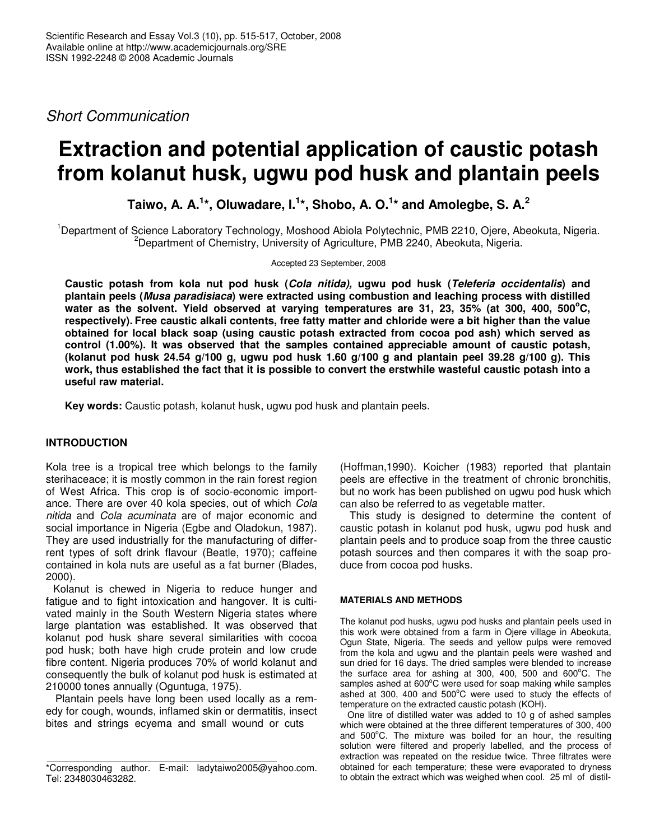*Short Communication*

# **Extraction and potential application of caustic potash from kolanut husk, ugwu pod husk and plantain peels**

**Taiwo, A. A. 1 \*, Oluwadare, I. 1 \*, Shobo, A. O. 1 \* and Amolegbe, S. A. 2**

<sup>1</sup>Department of Science Laboratory Technology, Moshood Abiola Polytechnic, PMB 2210, Ojere, Abeokuta, Nigeria. <sup>2</sup>Department of Chemistry, University of Agriculture, PMB 2240, Abeokuta, Nigeria.

Accepted 23 September, 2008

**Caustic potash from kola nut pod husk (***Cola nitida),* **ugwu pod husk (***Teleferia occidentalis***) and plantain peels (***Musa paradisiaca***) were extracted using combustion and leaching process with distilled** water as the solvent. Yield observed at varying temperatures are 31, 23, 35% (at 300, 400, 500°C, respectively). Free caustic alkali contents, free fatty matter and chloride were a bit higher than the value **obtained for local black soap (using caustic potash extracted from cocoa pod ash) which served as control (1.00%). It was observed that the samples contained appreciable amount of caustic potash,** (kolanut pod husk 24.54 g/100 g, ugwu pod husk 1.60 g/100 g and plantain peel 39.28 g/100 g). This work, thus established the fact that it is possible to convert the erstwhile wasteful caustic potash into a **useful raw material.**

**Key words:** Caustic potash, kolanut husk, ugwu pod husk and plantain peels.

# **INTRODUCTION**

Kola tree is a tropical tree which belongs to the family sterihaceace; it is mostly common in the rain forest region of West Africa. This crop is of socio-economic importance. There are over 40 kola species, out of which *Cola nitida* and *Cola acuminata* are of major economic and social importance in Nigeria (Egbe and Oladokun, 1987). They are used industrially for the manufacturing of differrent types of soft drink flavour (Beatle, 1970); caffeine contained in kola nuts are useful as a fat burner (Blades, 2000).

Kolanut is chewed in Nigeria to reduce hunger and fatigue and to fight intoxication and hangover. It is cultivated mainly in the South Western Nigeria states where large plantation was established. It was observed that kolanut pod husk share several similarities with cocoa pod husk; both have high crude protein and low crude fibre content. Nigeria produces 70% of world kolanut and consequently the bulk of kolanut pod husk is estimated at 210000 tones annually (Oguntuga, 1975).

Plantain peels have long been used locally as a remedy for cough, wounds, inflamed skin or dermatitis, insect bites and strings ecyema and small wound or cuts

(Hoffman,1990). Koicher (1983) reported that plantain peels are effective in the treatment of chronic bronchitis, but no work has been published on ugwu pod husk which can also be referred to as vegetable matter.

This study is designed to determine the content of caustic potash in kolanut pod husk, ugwu pod husk and plantain peels and to produce soap from the three caustic potash sources and then compares it with the soap produce from cocoa pod husks.

### **MATERIALS AND METHODS**

The kolanut pod husks, ugwu pod husks and plantain peels used in this work were obtained from a farm in Ojere village in Abeokuta, Ogun State, Nigeria. The seeds and yellow pulps were removed from the kola and ugwu and the plantain peels were washed and sun dried for 16 days. The dried samples were blended to increase the surface area for ashing at 300, 400, 500 and  $600^{\circ}$ C. The samples ashed at 600°C were used for soap making while samples ashed at 300, 400 and  $500^{\circ}$ C were used to study the effects of temperature on the extracted caustic potash (KOH).

One litre of distilled water was added to 10 g of ashed samples which were obtained at the three different temperatures of 300, 400 and 500°C. The mixture was boiled for an hour, the resulting solution were filtered and properly labelled, and the process of extraction was repeated on the residue twice. Three filtrates were obtained for each temperature; these were evaporated to dryness to obtain the extract which was weighed when cool. 25 ml of distil-

<sup>\*</sup>Corresponding author. E-mail: ladytaiwo2005@yahoo.com. Tel: 2348030463282.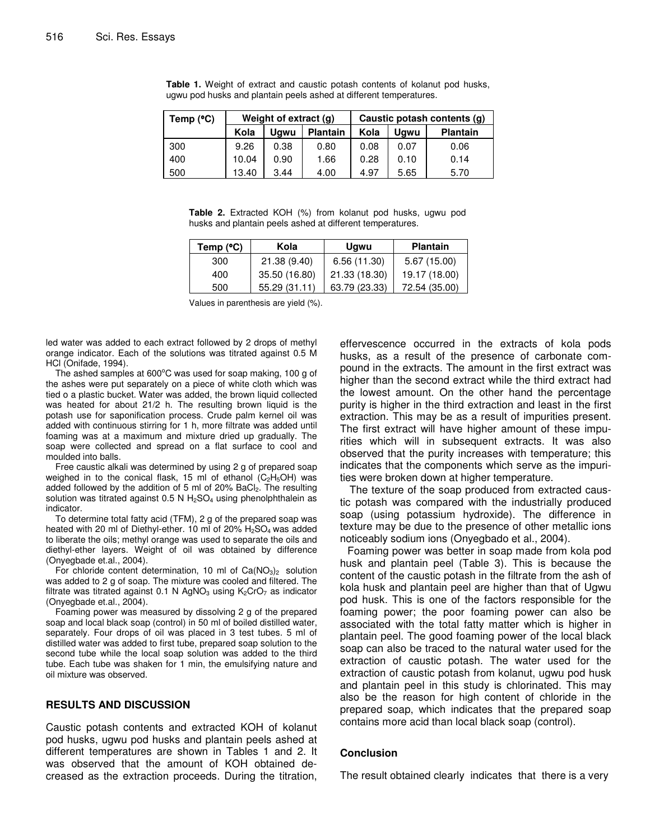| Temp $(^{\circ}C)$ | Weight of extract (g) |      | Caustic potash contents (g) |      |      |                 |
|--------------------|-----------------------|------|-----------------------------|------|------|-----------------|
|                    | Kola                  | Ugwu | <b>Plantain</b>             | Kola | Uawu | <b>Plantain</b> |
| 300                | 9.26                  | 0.38 | 0.80                        | 0.08 | 0.07 | 0.06            |
| 400                | 10.04                 | 0.90 | 1.66                        | 0.28 | 0.10 | 0.14            |
| 500                | 13.40                 | 3.44 | 4.00                        | 4.97 | 5.65 | 5.70            |

**Table 1.** Weight of extract and caustic potash contents of kolanut pod husks, ugwu pod husks and plantain peels ashed at different temperatures.

**Table 2.** Extracted KOH (%) from kolanut pod husks, ugwu pod husks and plantain peels ashed at different temperatures.

| Temp (°C) | Kola          | <b>Ugwu</b>   | <b>Plantain</b> |
|-----------|---------------|---------------|-----------------|
| 300       | 21.38 (9.40)  | 6.56 (11.30)  | 5.67 (15.00)    |
| 400       | 35.50 (16.80) | 21.33 (18.30) | 19.17 (18.00)   |
| 500       | 55.29 (31.11) | 63.79 (23.33) | 72.54 (35.00)   |

Values in parenthesis are yield (%).

led water was added to each extract followed by 2 drops of methyl orange indicator. Each of the solutions was titrated against 0.5 M HCl (Onifade, 1994).

The ashed samples at 600 $\mathrm{^oC}$  was used for soap making, 100 g of the ashes were put separately on a piece of white cloth which was tied o a plastic bucket. Water was added, the brown liquid collected was heated for about 21/2 h. The resulting brown liquid is the potash use for saponification process. Crude palm kernel oil was added with continuous stirring for 1 h, more filtrate was added until foaming was at a maximum and mixture dried up gradually. The soap were collected and spread on a flat surface to cool and moulded into balls.

Free caustic alkali was determined by using 2 g of prepared soap weighed in to the conical flask, 15 ml of ethanol  $(C_2H_5OH)$  was added followed by the addition of 5 ml of 20%  $BaCl<sub>2</sub>$ . The resulting solution was titrated against  $0.5$  N H<sub>2</sub>SO<sub>4</sub> using phenolphthalein as indicator.

To determine total fatty acid (TFM), 2 g of the prepared soap was heated with 20 ml of Diethyl-ether. 10 ml of 20% H<sub>2</sub>SO<sub>4</sub> was added to liberate the oils; methyl orange was used to separate the oils and diethyl-ether layers. Weight of oil was obtained by difference (Onyegbade et.al., 2004).

For chloride content determination, 10 ml of  $Ca(NO<sub>3</sub>)<sub>2</sub>$  solution was added to 2 g of soap. The mixture was cooled and filtered. The filtrate was titrated against 0.1 N AgNO<sub>3</sub> using  $K_2CrO_7$  as indicator (Onyegbade et.al., 2004).

Foaming power was measured by dissolving 2 g of the prepared soap and local black soap (control) in 50 ml of boiled distilled water, separately. Four drops of oil was placed in 3 test tubes. 5 ml of distilled water was added to first tube, prepared soap solution to the second tube while the local soap solution was added to the third tube. Each tube was shaken for 1 min, the emulsifying nature and oil mixture was observed.

# **RESULTS AND DISCUSSION**

Caustic potash contents and extracted KOH of kolanut pod husks, ugwu pod husks and plantain peels ashed at different temperatures are shown in Tables 1 and 2. It was observed that the amount of KOH obtained decreased as the extraction proceeds. During the titration, effervescence occurred in the extracts of kola pods husks, as a result of the presence of carbonate compound in the extracts. The amount in the first extract was higher than the second extract while the third extract had the lowest amount. On the other hand the percentage purity is higher in the third extraction and least in the first extraction. This may be as a result of impurities present. The first extract will have higher amount of these impurities which will in subsequent extracts. It was also observed that the purity increases with temperature; this indicates that the components which serve as the impurities were broken down at higher temperature.

The texture of the soap produced from extracted caustic potash was compared with the industrially produced soap (using potassium hydroxide). The difference in texture may be due to the presence of other metallic ions noticeably sodium ions (Onyegbado et al., 2004).

Foaming power was better in soap made from kola pod husk and plantain peel (Table 3). This is because the content of the caustic potash in the filtrate from the ash of kola husk and plantain peel are higher than that of Ugwu pod husk. This is one of the factors responsible for the foaming power; the poor foaming power can also be associated with the total fatty matter which is higher in plantain peel. The good foaming power of the local black soap can also be traced to the natural water used for the extraction of caustic potash. The water used for the extraction of caustic potash from kolanut, ugwu pod husk and plantain peel in this study is chlorinated. This may also be the reason for high content of chloride in the prepared soap, which indicates that the prepared soap contains more acid than local black soap (control).

### **Conclusion**

The result obtained clearly indicates that there is a very